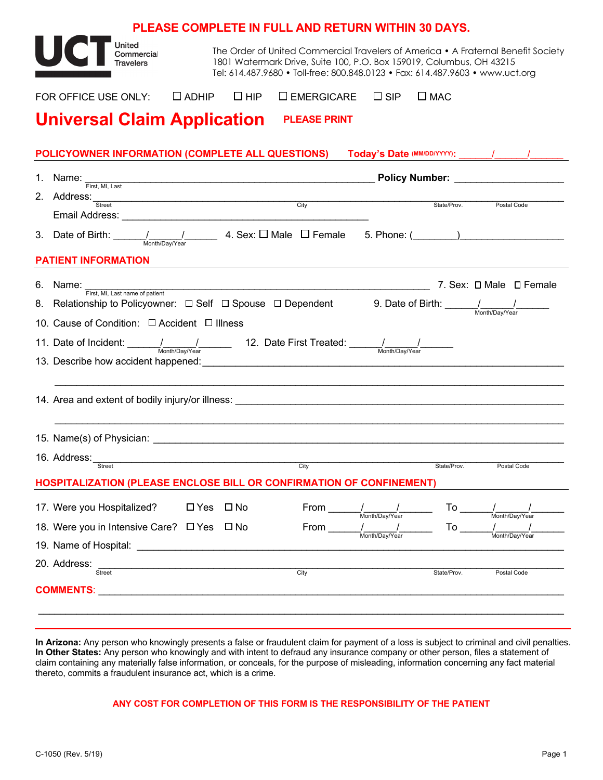|                                                                                                                                                                                                                                                                                                                                                                                      | <b>PLEASE COMPLETE IN FULL AND RETURN WITHIN 30 DAYS.</b>                                                                                                                                                                                                                                                                                                 |                                                                                                                                                                                                                                |  |  |  |  |  |  |
|--------------------------------------------------------------------------------------------------------------------------------------------------------------------------------------------------------------------------------------------------------------------------------------------------------------------------------------------------------------------------------------|-----------------------------------------------------------------------------------------------------------------------------------------------------------------------------------------------------------------------------------------------------------------------------------------------------------------------------------------------------------|--------------------------------------------------------------------------------------------------------------------------------------------------------------------------------------------------------------------------------|--|--|--|--|--|--|
| United<br>Commercial<br><b>Travelers</b>                                                                                                                                                                                                                                                                                                                                             | 1801 Watermark Drive, Suite 100, P.O. Box 159019, Columbus, OH 43215                                                                                                                                                                                                                                                                                      | The Order of United Commercial Travelers of America • A Fraternal Benefit Society<br>Tel: 614.487.9680 • Toll-free: 800.848.0123 • Fax: 614.487.9603 • www.uct.org                                                             |  |  |  |  |  |  |
| $\Box$ ADHIP $\Box$ HIP<br>FOR OFFICE USE ONLY:                                                                                                                                                                                                                                                                                                                                      | $\square$ EMERGICARE                                                                                                                                                                                                                                                                                                                                      | $\Box$ SIP<br>$\Box$ MAC                                                                                                                                                                                                       |  |  |  |  |  |  |
| <b>Universal Claim Application</b>                                                                                                                                                                                                                                                                                                                                                   | <b>PLEASE PRINT</b>                                                                                                                                                                                                                                                                                                                                       |                                                                                                                                                                                                                                |  |  |  |  |  |  |
|                                                                                                                                                                                                                                                                                                                                                                                      |                                                                                                                                                                                                                                                                                                                                                           |                                                                                                                                                                                                                                |  |  |  |  |  |  |
| POLICYOWNER INFORMATION (COMPLETE ALL QUESTIONS)                                                                                                                                                                                                                                                                                                                                     |                                                                                                                                                                                                                                                                                                                                                           | Today's Date (MM/DD/YYYY): \\cdots \\cdots \\cdots \\cdots \\cdots \\cdots \\cdots \\cdots \\cdots \\cdots \\cdots \\cdots \\cdots \\cdots \\cdots \\cdots \\cdots \\cdots \\cdots \\cdots \\cdots \\cdots \\cdots \\cdots \\c |  |  |  |  |  |  |
|                                                                                                                                                                                                                                                                                                                                                                                      |                                                                                                                                                                                                                                                                                                                                                           | 1. Name: First, Mi, Last <b>First, Mi, Last</b>                                                                                                                                                                                |  |  |  |  |  |  |
| 2. Address: Street City                                                                                                                                                                                                                                                                                                                                                              |                                                                                                                                                                                                                                                                                                                                                           | State/Prov.<br>Postal Code                                                                                                                                                                                                     |  |  |  |  |  |  |
|                                                                                                                                                                                                                                                                                                                                                                                      |                                                                                                                                                                                                                                                                                                                                                           |                                                                                                                                                                                                                                |  |  |  |  |  |  |
| <b>PATIENT INFORMATION</b>                                                                                                                                                                                                                                                                                                                                                           |                                                                                                                                                                                                                                                                                                                                                           |                                                                                                                                                                                                                                |  |  |  |  |  |  |
| 6. Name: First, MI, Last name of patient<br>Prist, Mi, Last harme or pauerit.<br>8. Relationship to Policyowner: D Self D Spouse D Dependent 9. Date of Birth: <u>Cambric Month/DavYear</u><br>10. Cause of Condition: □ Accident □ Illness<br>11. Date of Incident: $\frac{1}{\frac{1}{\text{Month/Day/Year}}}$ 12. Date First Treated: $\frac{1}{\frac{1}{\text{Month/Day/Year}}}$ |                                                                                                                                                                                                                                                                                                                                                           | 7. Sex: □ Male □ Female                                                                                                                                                                                                        |  |  |  |  |  |  |
|                                                                                                                                                                                                                                                                                                                                                                                      |                                                                                                                                                                                                                                                                                                                                                           |                                                                                                                                                                                                                                |  |  |  |  |  |  |
|                                                                                                                                                                                                                                                                                                                                                                                      |                                                                                                                                                                                                                                                                                                                                                           |                                                                                                                                                                                                                                |  |  |  |  |  |  |
| 16. Address:<br>Street<br><b>HOSPITALIZATION (PLEASE ENCLOSE BILL OR CONFIRMATION OF CONFINEMENT)</b>                                                                                                                                                                                                                                                                                | City                                                                                                                                                                                                                                                                                                                                                      | State/Prov.<br>Postal Code                                                                                                                                                                                                     |  |  |  |  |  |  |
|                                                                                                                                                                                                                                                                                                                                                                                      |                                                                                                                                                                                                                                                                                                                                                           |                                                                                                                                                                                                                                |  |  |  |  |  |  |
| 17. Were you Hospitalized? □ Yes □ No                                                                                                                                                                                                                                                                                                                                                | $From \underline{\hspace{1cm}}\underline{\hspace{1cm}}\underline{\hspace{1cm}}\underline{\hspace{1cm}}\underline{\hspace{1cm}}\underline{\hspace{1cm}}\underline{\hspace{1cm}}\underline{\hspace{1cm}}\underline{\hspace{1cm}}\underline{\hspace{1cm}}\underline{\hspace{1cm}}\underline{\hspace{1cm}}\underline{\hspace{1cm}}\underline{\hspace{1cm}}}}$ | To $\_\_$                                                                                                                                                                                                                      |  |  |  |  |  |  |
| 18. Were you in Intensive Care? □ Yes □ No                                                                                                                                                                                                                                                                                                                                           |                                                                                                                                                                                                                                                                                                                                                           | $\begin{array}{c c} & / \\ \hline \text{Month/Day/Year} \end{array}$<br>_ <b>/ ____________/ _</b><br>Month/Dav/Year                                                                                                           |  |  |  |  |  |  |
| 20. Address:<br><u> 1989 - Johann John Stone, mars eta industrial eta industrial eta industrial eta industrial eta industrial eta</u><br>Street                                                                                                                                                                                                                                      | $\overline{City}$                                                                                                                                                                                                                                                                                                                                         | State/Prov.<br>Postal Code                                                                                                                                                                                                     |  |  |  |  |  |  |
|                                                                                                                                                                                                                                                                                                                                                                                      |                                                                                                                                                                                                                                                                                                                                                           |                                                                                                                                                                                                                                |  |  |  |  |  |  |

**In Arizona:** Any person who knowingly presents a false or fraudulent claim for payment of a loss is subject to criminal and civil penalties. **In Other States:** Any person who knowingly and with intent to defraud any insurance company or other person, files a statement of claim containing any materially false information, or conceals, for the purpose of misleading, information concerning any fact material thereto, commits a fraudulent insurance act, which is a crime.

## **ANY COST FOR COMPLETION OF THIS FORM IS THE RESPONSIBILITY OF THE PATIENT**